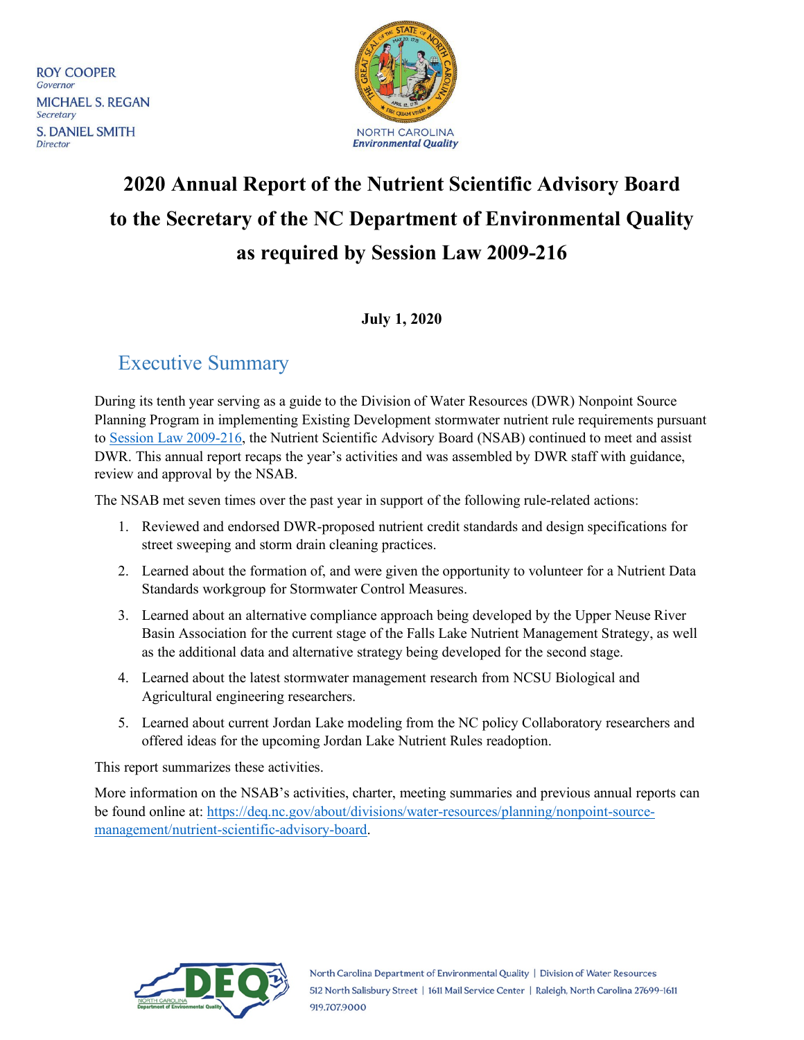**ROY COOPER** Governor **MICHAEL S. REGAN** Secretary **S. DANIEL SMITH** Director



# **2020 Annual Report of the Nutrient Scientific Advisory Board to the Secretary of the NC Department of Environmental Quality as required by Session Law 2009-216**

**July 1, 2020**

## <span id="page-0-0"></span>Executive Summary

During its tenth year serving as a guide to the Division of Water Resources (DWR) Nonpoint Source Planning Program in implementing Existing Development stormwater nutrient rule requirements pursuant to [Session Law 2009-216,](#page-7-0) the Nutrient Scientific Advisory Board (NSAB) continued to meet and assist DWR. This annual report recaps the year's activities and was assembled by DWR staff with guidance, review and approval by the NSAB.

The NSAB met seven times over the past year in support of the following rule-related actions:

- 1. Reviewed and endorsed DWR-proposed nutrient credit standards and design specifications for street sweeping and storm drain cleaning practices.
- 2. Learned about the formation of, and were given the opportunity to volunteer for a Nutrient Data Standards workgroup for Stormwater Control Measures.
- 3. Learned about an alternative compliance approach being developed by the Upper Neuse River Basin Association for the current stage of the Falls Lake Nutrient Management Strategy, as well as the additional data and alternative strategy being developed for the second stage.
- 4. Learned about the latest stormwater management research from NCSU Biological and Agricultural engineering researchers.
- 5. Learned about current Jordan Lake modeling from the NC policy Collaboratory researchers and offered ideas for the upcoming Jordan Lake Nutrient Rules readoption.

This report summarizes these activities.

More information on the NSAB's activities, charter, meeting summaries and previous annual reports can be found online at: [https://deq.nc.gov/about/divisions/water-resources/planning/nonpoint-source](https://deq.nc.gov/about/divisions/water-resources/planning/nonpoint-source-management/nutrient-scientific-advisory-board)[management/nutrient-scientific-advisory-board.](https://deq.nc.gov/about/divisions/water-resources/planning/nonpoint-source-management/nutrient-scientific-advisory-board)

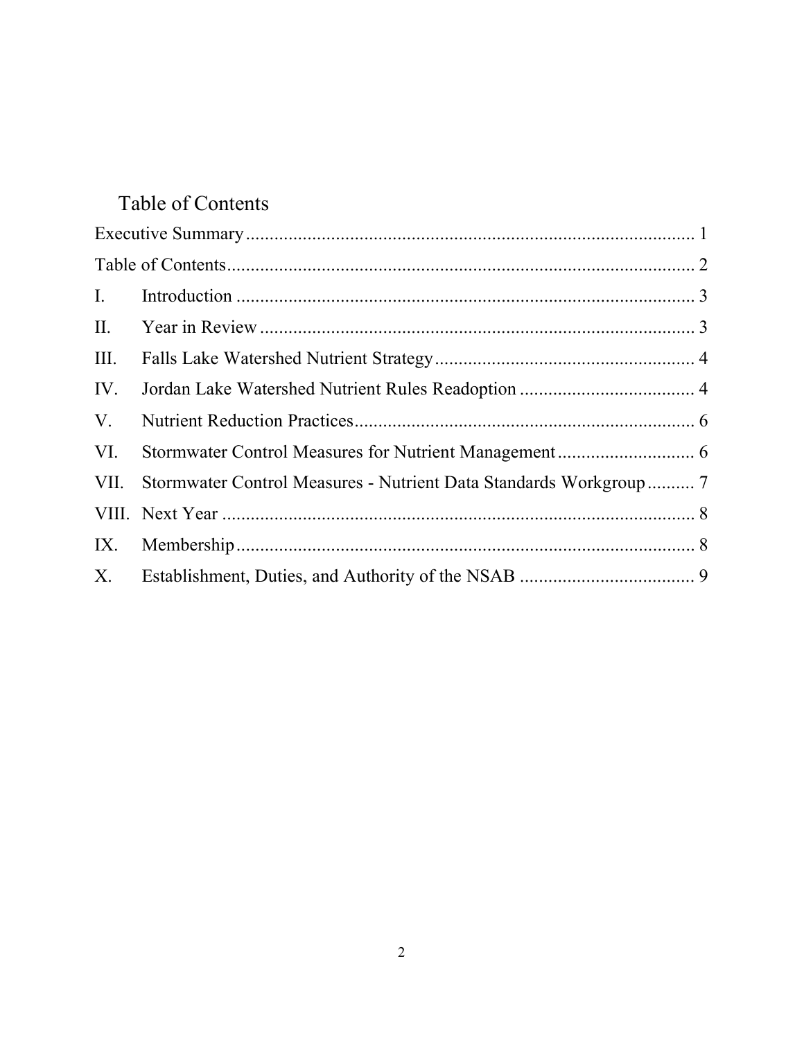# <span id="page-1-0"></span>Table of Contents

| III. |                                                                   |  |
|------|-------------------------------------------------------------------|--|
| IV.  |                                                                   |  |
| V.   |                                                                   |  |
| VI.  |                                                                   |  |
| VII. | Stormwater Control Measures - Nutrient Data Standards Workgroup 7 |  |
|      |                                                                   |  |
|      |                                                                   |  |
| X.   |                                                                   |  |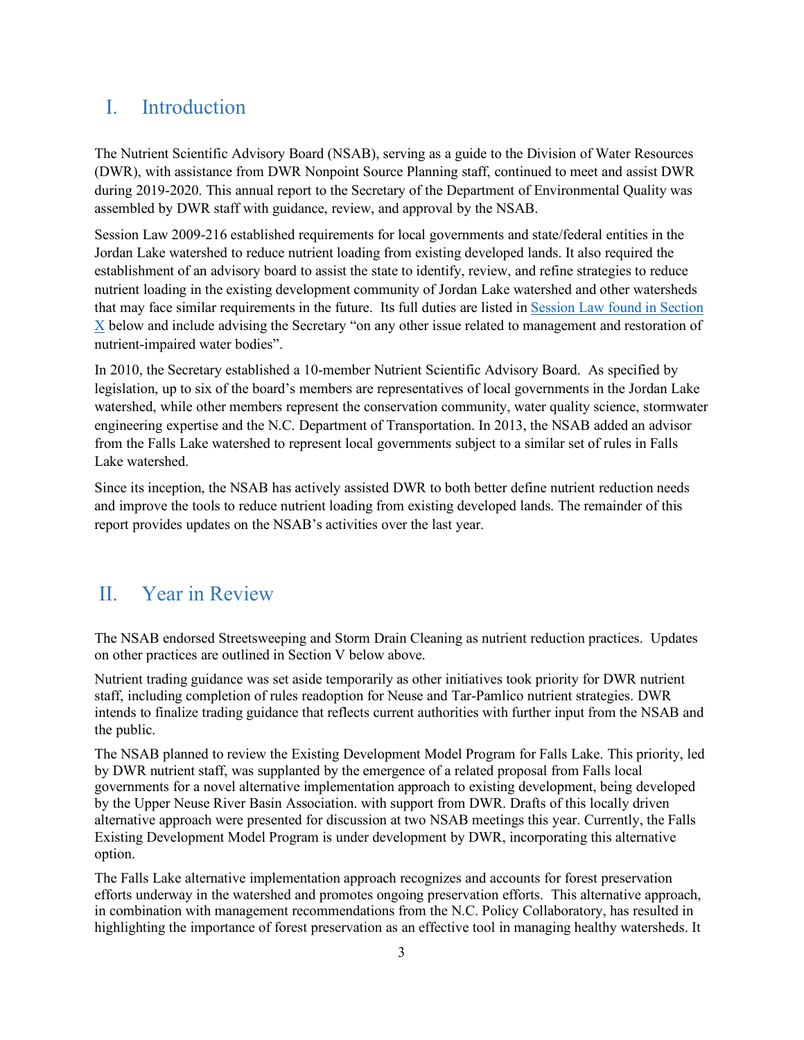### <span id="page-2-0"></span>I. Introduction

The Nutrient Scientific Advisory Board (NSAB), serving as a guide to the Division of Water Resources (DWR), with assistance from DWR Nonpoint Source Planning staff, continued to meet and assist DWR during 2019-2020. This annual report to the Secretary of the Department of Environmental Quality was assembled by DWR staff with guidance, review, and approval by the NSAB.

[Session Law 2009-216](http://www.ncleg.net/sessions/2009/bills/house/pdf/h239v6.pdf) established requirements for local governments and state/federal entities in the Jordan Lake watershed to reduce nutrient loading from existing developed lands. It also required the establishment of an advisory board to assist the state to identify, review, and refine strategies to reduce nutrient loading in the existing development community of Jordan Lake watershed and other watersheds that may face similar requirements in the future. Its full duties are listed in [Session Law found in Section](#page-7-0)  [X](#page-7-0) below and include advising the Secretary "on any other issue related to management and restoration of nutrient-impaired water bodies".

In 2010, the Secretary established a 10-member Nutrient Scientific Advisory Board. As specified by legislation, up to six of the board's members are representatives of local governments in the Jordan Lake watershed, while other members represent the conservation community, water quality science, stormwater engineering expertise and the N.C. Department of Transportation. In 2013, the NSAB added an advisor from the Falls Lake watershed to represent local governments subject to a similar set of rules in Falls Lake watershed.

Since its inception, the NSAB has actively assisted DWR to both better define nutrient reduction needs and improve the tools to reduce nutrient loading from existing developed lands. The remainder of this report provides updates on the NSAB's activities over the last year.

### <span id="page-2-1"></span>II. Year in Review

The NSAB endorsed Streetsweeping and Storm Drain Cleaning as nutrient reduction practices. Updates on other practices are outlined in Section V below above.

Nutrient trading guidance was set aside temporarily as other initiatives took priority for DWR nutrient staff, including completion of rules readoption for Neuse and Tar-Pamlico nutrient strategies. DWR intends to finalize trading guidance that reflects current authorities with further input from the NSAB and the public.

The NSAB planned to review the Existing Development Model Program for Falls Lake. This priority, led by DWR nutrient staff, was supplanted by the emergence of a related proposal from Falls local governments for a novel alternative implementation approach to existing development, being developed by the Upper Neuse River Basin Association. with support from DWR. Drafts of this locally driven alternative approach were presented for discussion at two NSAB meetings this year. Currently, the Falls Existing Development Model Program is under development by DWR, incorporating this alternative option.

The Falls Lake alternative implementation approach recognizes and accounts for forest preservation efforts underway in the watershed and promotes ongoing preservation efforts. This alternative approach, in combination with management recommendations from the N.C. Policy Collaboratory, has resulted in highlighting the importance of forest preservation as an effective tool in managing healthy watersheds. It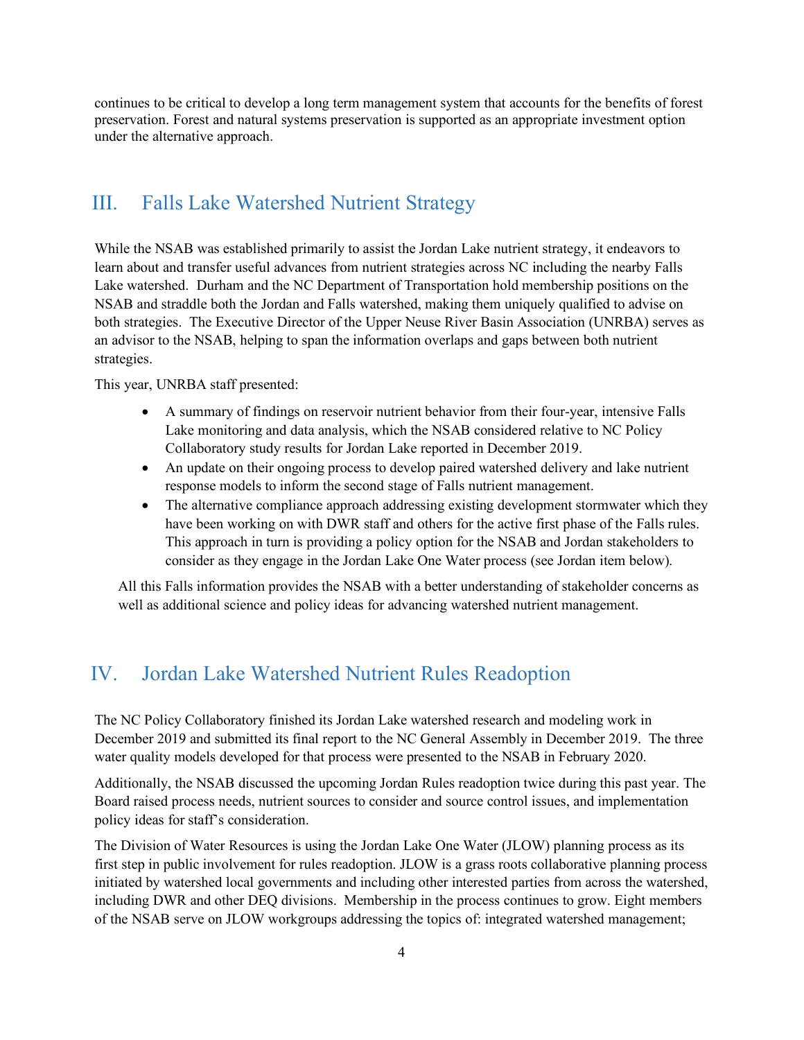continues to be critical to develop a long term management system that accounts for the benefits of forest preservation. Forest and natural systems preservation is supported as an appropriate investment option under the alternative approach.

### <span id="page-3-0"></span>III. Falls Lake Watershed Nutrient Strategy

While the NSAB was established primarily to assist the Jordan Lake nutrient strategy, it endeavors to learn about and transfer useful advances from nutrient strategies across NC including the nearby Falls Lake watershed. Durham and the NC Department of Transportation hold membership positions on the NSAB and straddle both the Jordan and Falls watershed, making them uniquely qualified to advise on both strategies. The Executive Director of the Upper Neuse River Basin Association (UNRBA) serves as an advisor to the NSAB, helping to span the information overlaps and gaps between both nutrient strategies.

This year, UNRBA staff presented:

- A summary of findings on reservoir nutrient behavior from their four-year, intensive Falls Lake monitoring and data analysis, which the NSAB considered relative to NC Policy Collaboratory study results for Jordan Lake reported in December 2019.
- An update on their ongoing process to develop paired watershed delivery and lake nutrient response models to inform the second stage of Falls nutrient management.
- The alternative compliance approach addressing existing development stormwater which they have been working on with DWR staff and others for the active first phase of the Falls rules. This approach in turn is providing a policy option for the NSAB and Jordan stakeholders to consider as they engage in the Jordan Lake One Water process (see Jordan item below).

All this Falls information provides the NSAB with a better understanding of stakeholder concerns as well as additional science and policy ideas for advancing watershed nutrient management.

### <span id="page-3-1"></span>IV. Jordan Lake Watershed Nutrient Rules Readoption

The NC Policy Collaboratory finished its Jordan Lake watershed research and modeling work in December 2019 and submitted its final report to the NC General Assembly in December 2019. The three water quality models developed for that process were presented to the NSAB in February 2020.

Additionally, the NSAB discussed the upcoming Jordan Rules readoption twice during this past year. The Board raised process needs, nutrient sources to consider and source control issues, and implementation policy ideas for staff's consideration.

The Division of Water Resources is using the Jordan Lake One Water (JLOW) planning process as its first step in public involvement for rules readoption. JLOW is a grass roots collaborative planning process initiated by watershed local governments and including other interested parties from across the watershed, including DWR and other DEQ divisions. Membership in the process continues to grow. Eight members of the NSAB serve on JLOW workgroups addressing the topics of: integrated watershed management;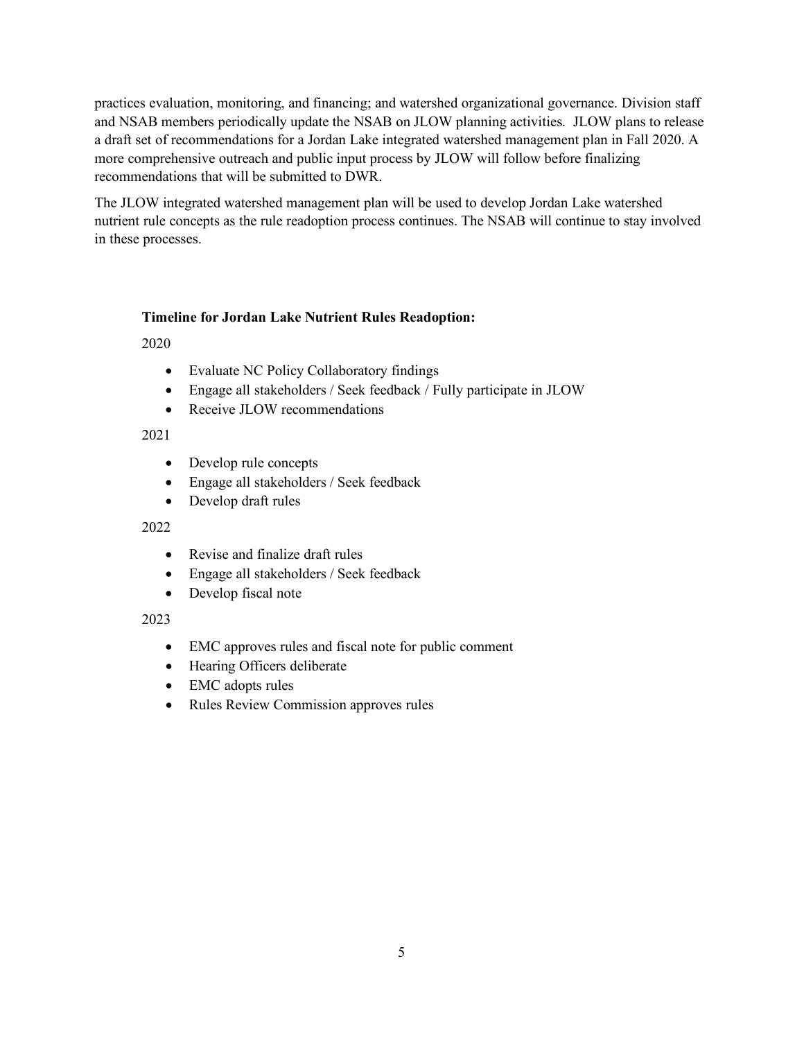practices evaluation, monitoring, and financing; and watershed organizational governance. Division staff and NSAB members periodically update the NSAB on JLOW planning activities. JLOW plans to release a draft set of recommendations for a Jordan Lake integrated watershed management plan in Fall 2020. A more comprehensive outreach and public input process by JLOW will follow before finalizing recommendations that will be submitted to DWR.

The JLOW integrated watershed management plan will be used to develop Jordan Lake watershed nutrient rule concepts as the rule readoption process continues. The NSAB will continue to stay involved in these processes.

#### **Timeline for Jordan Lake Nutrient Rules Readoption:**

2020

- Evaluate NC Policy Collaboratory findings
- Engage all stakeholders / Seek feedback / Fully participate in JLOW
- Receive JLOW recommendations

#### 2021

- Develop rule concepts
- Engage all stakeholders / Seek feedback
- Develop draft rules

#### 2022

- Revise and finalize draft rules
- Engage all stakeholders / Seek feedback
- Develop fiscal note

#### 2023

- EMC approves rules and fiscal note for public comment
- Hearing Officers deliberate
- EMC adopts rules
- Rules Review Commission approves rules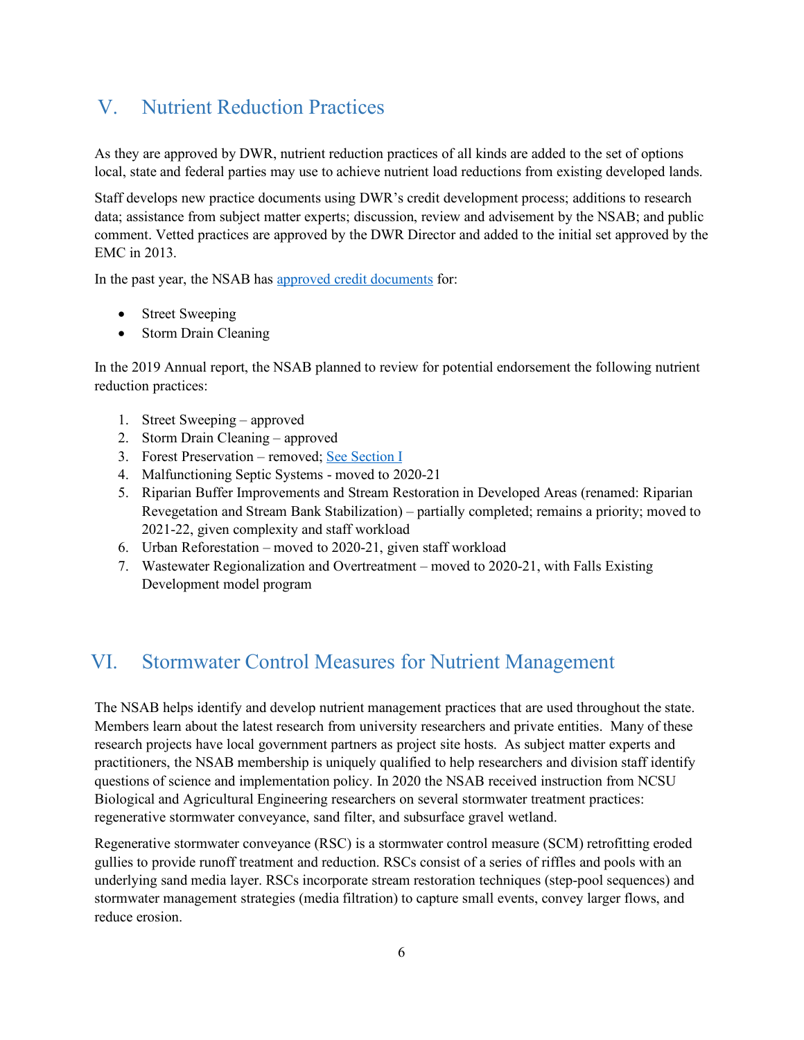## <span id="page-5-0"></span>V. Nutrient Reduction Practices

As they are approved by DWR, nutrient reduction practices of all kinds are added to the set of options local, state and federal parties may use to achieve nutrient load reductions from existing developed lands.

Staff develops new practice documents using DWR's credit development process; additions to research data; assistance from subject matter experts; discussion, review and advisement by the NSAB; and public comment. Vetted practices are approved by the DWR Director and added to the initial set approved by the EMC in 2013.

In the past year, the NSAB ha[s approved credit documents](https://deq.nc.gov/about/divisions/water-resources/planning/nonpoint-source-management/nutrient-offset-information#approved-nutrient-reduction-practices) for:

- Street Sweeping
- Storm Drain Cleaning

In the 2019 Annual report, the NSAB planned to review for potential endorsement the following nutrient reduction practices:

- 1. Street Sweeping approved
- 2. Storm Drain Cleaning approved
- 3. Forest Preservation removed; [See Section I](#page-2-1)
- 4. Malfunctioning Septic Systems moved to 2020-21
- 5. Riparian Buffer Improvements and Stream Restoration in Developed Areas (renamed: Riparian Revegetation and Stream Bank Stabilization) – partially completed; remains a priority; moved to 2021-22, given complexity and staff workload
- 6. Urban Reforestation moved to 2020-21, given staff workload
- 7. Wastewater Regionalization and Overtreatment moved to 2020-21, with Falls Existing Development model program

### <span id="page-5-1"></span>VI. Stormwater Control Measures for Nutrient Management

The NSAB helps identify and develop nutrient management practices that are used throughout the state. Members learn about the latest research from university researchers and private entities. Many of these research projects have local government partners as project site hosts. As subject matter experts and practitioners, the NSAB membership is uniquely qualified to help researchers and division staff identify questions of science and implementation policy. In 2020 the NSAB received instruction from NCSU Biological and Agricultural Engineering researchers on several stormwater treatment practices: regenerative stormwater conveyance, sand filter, and subsurface gravel wetland.

Regenerative stormwater conveyance (RSC) is a stormwater control measure (SCM) retrofitting eroded gullies to provide runoff treatment and reduction. RSCs consist of a series of riffles and pools with an underlying sand media layer. RSCs incorporate stream restoration techniques (step-pool sequences) and stormwater management strategies (media filtration) to capture small events, convey larger flows, and reduce erosion.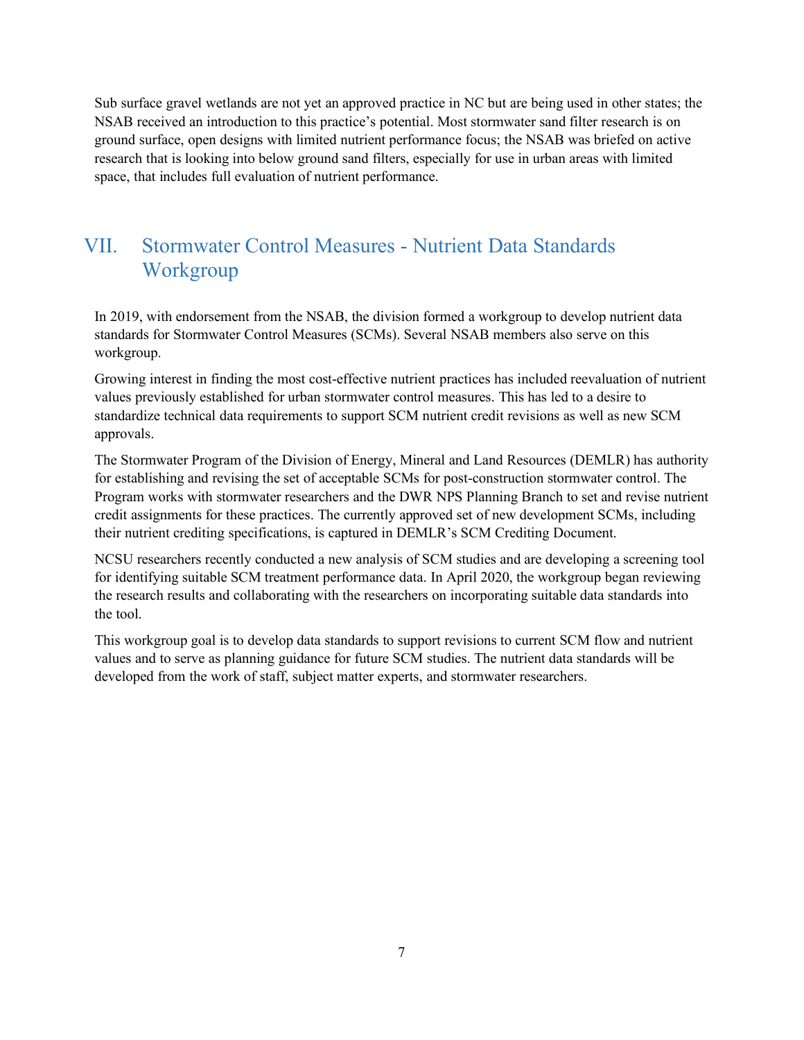Sub surface gravel wetlands are not yet an approved practice in NC but are being used in other states; the NSAB received an introduction to this practice's potential. Most stormwater sand filter research is on ground surface, open designs with limited nutrient performance focus; the NSAB was briefed on active research that is looking into below ground sand filters, especially for use in urban areas with limited space, that includes full evaluation of nutrient performance.

### <span id="page-6-0"></span>VII. Stormwater Control Measures - Nutrient Data Standards Workgroup

In 2019, with endorsement from the NSAB, the division formed a workgroup to develop nutrient data standards for Stormwater Control Measures (SCMs). Several NSAB members also serve on this workgroup.

Growing interest in finding the most cost-effective nutrient practices has included reevaluation of nutrient values previously established for urban stormwater control measures. This has led to a desire to standardize technical data requirements to support SCM nutrient credit revisions as well as new SCM approvals.

The Stormwater Program of the Division of Energy, Mineral and Land Resources (DEMLR) has authority for establishing and revising the set of acceptable SCMs for post-construction stormwater control. The Program works with stormwater researchers and the DWR NPS Planning Branch to set and revise nutrient credit assignments for these practices. The currently approved set of new development SCMs, including their nutrient crediting specifications, is captured in DEMLR's SCM Crediting Document.

NCSU researchers recently conducted a new analysis of SCM studies and are developing a screening tool for identifying suitable SCM treatment performance data. In April 2020, the workgroup began reviewing the research results and collaborating with the researchers on incorporating suitable data standards into the tool.

This workgroup goal is to develop data standards to support revisions to current SCM flow and nutrient values and to serve as planning guidance for future SCM studies. The nutrient data standards will be developed from the work of staff, subject matter experts, and stormwater researchers.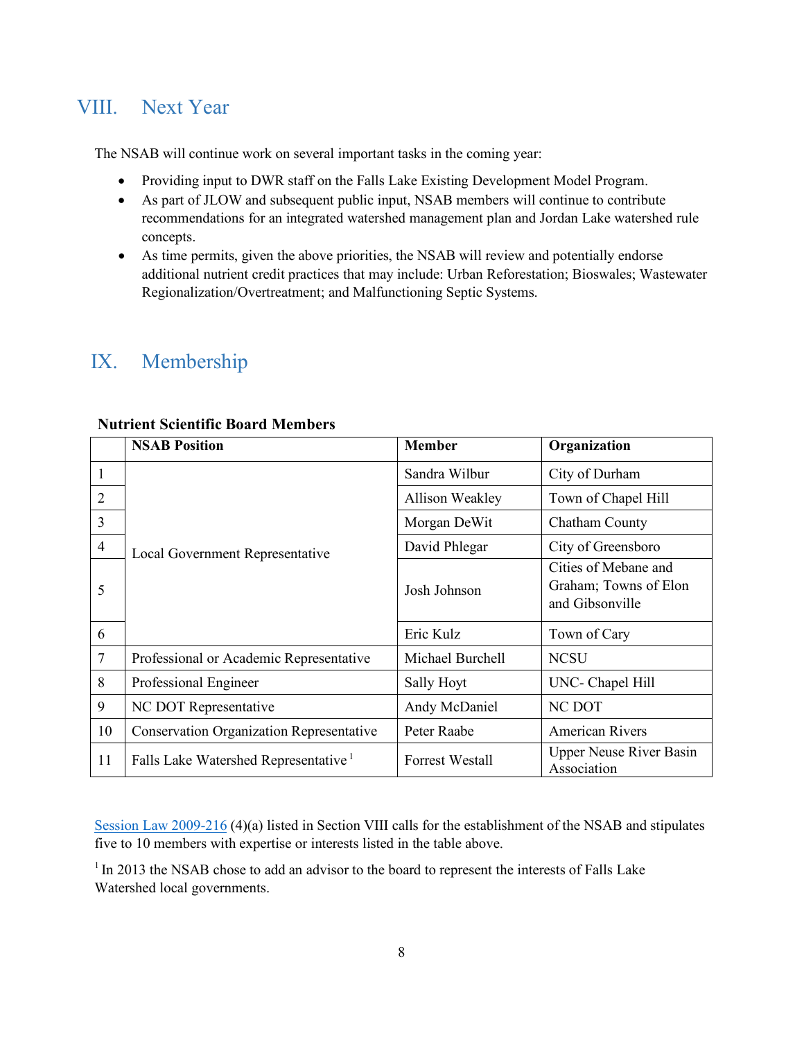### <span id="page-7-1"></span>VIII. Next Year

The NSAB will continue work on several important tasks in the coming year:

- Providing input to DWR staff on the Falls Lake Existing Development Model Program.
- As part of JLOW and subsequent public input, NSAB members will continue to contribute recommendations for an integrated watershed management plan and Jordan Lake watershed rule concepts.
- As time permits, given the above priorities, the NSAB will review and potentially endorse additional nutrient credit practices that may include: Urban Reforestation; Bioswales; Wastewater Regionalization/Overtreatment; and Malfunctioning Septic Systems.

### <span id="page-7-2"></span>IX. Membership

|                | <b>NSAB Position</b>                             | <b>Member</b>          | Organization                                                     |
|----------------|--------------------------------------------------|------------------------|------------------------------------------------------------------|
| 1              | Local Government Representative                  | Sandra Wilbur          | City of Durham                                                   |
| $\overline{2}$ |                                                  | Allison Weakley        | Town of Chapel Hill                                              |
| 3              |                                                  | Morgan DeWit           | Chatham County                                                   |
| $\overline{4}$ |                                                  | David Phlegar          | City of Greensboro                                               |
| 5              |                                                  | Josh Johnson           | Cities of Mebane and<br>Graham; Towns of Elon<br>and Gibsonville |
| 6              |                                                  | Eric Kulz              | Town of Cary                                                     |
| $\overline{7}$ | Professional or Academic Representative          | Michael Burchell       | <b>NCSU</b>                                                      |
| 8              | Professional Engineer                            | Sally Hoyt             | UNC- Chapel Hill                                                 |
| 9              | NC DOT Representative                            | Andy McDaniel          | NC DOT                                                           |
| 10             | <b>Conservation Organization Representative</b>  | Peter Raabe            | <b>American Rivers</b>                                           |
| 11             | Falls Lake Watershed Representative <sup>1</sup> | <b>Forrest Westall</b> | <b>Upper Neuse River Basin</b><br>Association                    |

#### **Nutrient Scientific Board Members**

[Session Law 2009-216](#page-7-0) (4)(a) listed in Section VIII calls for the establishment of the NSAB and stipulates five to 10 members with expertise or interests listed in the table above.

<span id="page-7-0"></span><sup>1</sup> In 2013 the NSAB chose to add an advisor to the board to represent the interests of Falls Lake Watershed local governments.